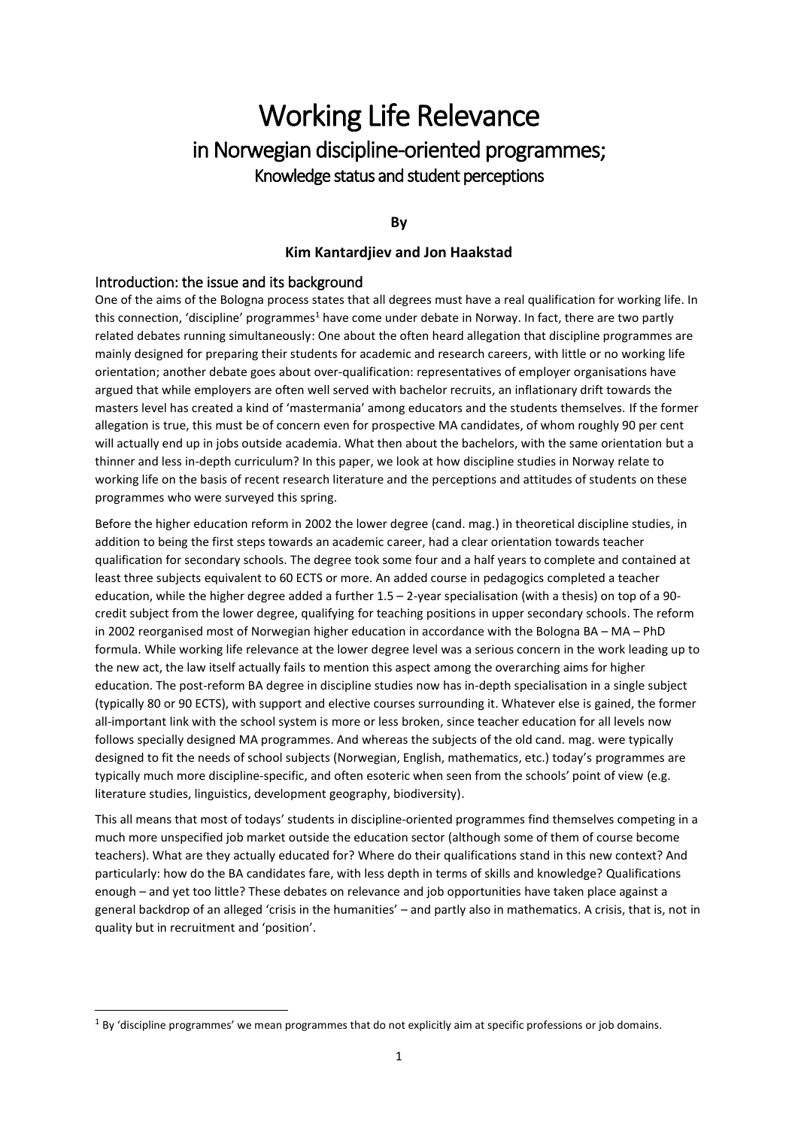# Working Life Relevance in Norwegian discipline-oriented programmes; Knowledge status and student perceptions

**By**

## **Kim Kantardjiev and Jon Haakstad**

## Introduction: the issue and its background

 $\overline{a}$ 

One of the aims of the Bologna process states that all degrees must have a real qualification for working life. In this connection, 'discipline' programmes<sup>1</sup> have come under debate in Norway. In fact, there are two partly related debates running simultaneously: One about the often heard allegation that discipline programmes are mainly designed for preparing their students for academic and research careers, with little or no working life orientation; another debate goes about over-qualification: representatives of employer organisations have argued that while employers are often well served with bachelor recruits, an inflationary drift towards the masters level has created a kind of 'mastermania' among educators and the students themselves. If the former allegation is true, this must be of concern even for prospective MA candidates, of whom roughly 90 per cent will actually end up in jobs outside academia. What then about the bachelors, with the same orientation but a thinner and less in-depth curriculum? In this paper, we look at how discipline studies in Norway relate to working life on the basis of recent research literature and the perceptions and attitudes of students on these programmes who were surveyed this spring.

Before the higher education reform in 2002 the lower degree (cand. mag.) in theoretical discipline studies, in addition to being the first steps towards an academic career, had a clear orientation towards teacher qualification for secondary schools. The degree took some four and a half years to complete and contained at least three subjects equivalent to 60 ECTS or more. An added course in pedagogics completed a teacher education, while the higher degree added a further 1.5 – 2-year specialisation (with a thesis) on top of a 90 credit subject from the lower degree, qualifying for teaching positions in upper secondary schools. The reform in 2002 reorganised most of Norwegian higher education in accordance with the Bologna BA – MA – PhD formula. While working life relevance at the lower degree level was a serious concern in the work leading up to the new act, the law itself actually fails to mention this aspect among the overarching aims for higher education. The post-reform BA degree in discipline studies now has in-depth specialisation in a single subject (typically 80 or 90 ECTS), with support and elective courses surrounding it. Whatever else is gained, the former all-important link with the school system is more or less broken, since teacher education for all levels now follows specially designed MA programmes. And whereas the subjects of the old cand. mag. were typically designed to fit the needs of school subjects (Norwegian, English, mathematics, etc.) today's programmes are typically much more discipline-specific, and often esoteric when seen from the schools' point of view (e.g. literature studies, linguistics, development geography, biodiversity).

This all means that most of todays' students in discipline-oriented programmes find themselves competing in a much more unspecified job market outside the education sector (although some of them of course become teachers). What are they actually educated for? Where do their qualifications stand in this new context? And particularly: how do the BA candidates fare, with less depth in terms of skills and knowledge? Qualifications enough – and yet too little? These debates on relevance and job opportunities have taken place against a general backdrop of an alleged 'crisis in the humanities' – and partly also in mathematics. A crisis, that is, not in quality but in recruitment and 'position'.

 $1$  By 'discipline programmes' we mean programmes that do not explicitly aim at specific professions or job domains.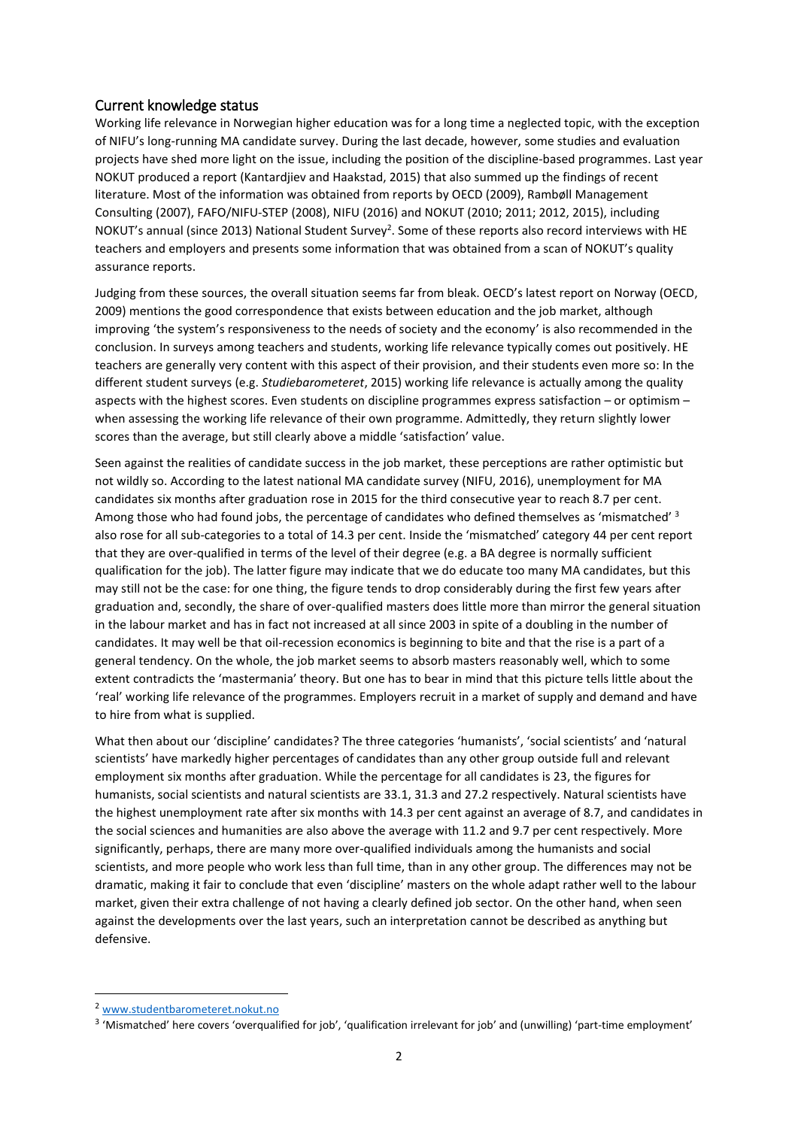# Current knowledge status

Working life relevance in Norwegian higher education was for a long time a neglected topic, with the exception of NIFU's long-running MA candidate survey. During the last decade, however, some studies and evaluation projects have shed more light on the issue, including the position of the discipline-based programmes. Last year NOKUT produced a report (Kantardjiev and Haakstad, 2015) that also summed up the findings of recent literature. Most of the information was obtained from reports by OECD (2009), Rambøll Management Consulting (2007), FAFO/NIFU-STEP (2008), NIFU (2016) and NOKUT (2010; 2011; 2012, 2015), including NOKUT's annual (since 2013) National Student Survey<sup>2</sup>. Some of these reports also record interviews with HE teachers and employers and presents some information that was obtained from a scan of NOKUT's quality assurance reports.

Judging from these sources, the overall situation seems far from bleak. OECD's latest report on Norway (OECD, 2009) mentions the good correspondence that exists between education and the job market, although improving 'the system's responsiveness to the needs of society and the economy' is also recommended in the conclusion. In surveys among teachers and students, working life relevance typically comes out positively. HE teachers are generally very content with this aspect of their provision, and their students even more so: In the different student surveys (e.g. *Studiebarometeret*, 2015) working life relevance is actually among the quality aspects with the highest scores. Even students on discipline programmes express satisfaction – or optimism – when assessing the working life relevance of their own programme. Admittedly, they return slightly lower scores than the average, but still clearly above a middle 'satisfaction' value.

Seen against the realities of candidate success in the job market, these perceptions are rather optimistic but not wildly so. According to the latest national MA candidate survey (NIFU, 2016), unemployment for MA candidates six months after graduation rose in 2015 for the third consecutive year to reach 8.7 per cent. Among those who had found jobs, the percentage of candidates who defined themselves as 'mismatched' <sup>3</sup> also rose for all sub-categories to a total of 14.3 per cent. Inside the 'mismatched' category 44 per cent report that they are over-qualified in terms of the level of their degree (e.g. a BA degree is normally sufficient qualification for the job). The latter figure may indicate that we do educate too many MA candidates, but this may still not be the case: for one thing, the figure tends to drop considerably during the first few years after graduation and, secondly, the share of over-qualified masters does little more than mirror the general situation in the labour market and has in fact not increased at all since 2003 in spite of a doubling in the number of candidates. It may well be that oil-recession economics is beginning to bite and that the rise is a part of a general tendency. On the whole, the job market seems to absorb masters reasonably well, which to some extent contradicts the 'mastermania' theory. But one has to bear in mind that this picture tells little about the 'real' working life relevance of the programmes. Employers recruit in a market of supply and demand and have to hire from what is supplied.

What then about our 'discipline' candidates? The three categories 'humanists', 'social scientists' and 'natural scientists' have markedly higher percentages of candidates than any other group outside full and relevant employment six months after graduation. While the percentage for all candidates is 23, the figures for humanists, social scientists and natural scientists are 33.1, 31.3 and 27.2 respectively. Natural scientists have the highest unemployment rate after six months with 14.3 per cent against an average of 8.7, and candidates in the social sciences and humanities are also above the average with 11.2 and 9.7 per cent respectively. More significantly, perhaps, there are many more over-qualified individuals among the humanists and social scientists, and more people who work less than full time, than in any other group. The differences may not be dramatic, making it fair to conclude that even 'discipline' masters on the whole adapt rather well to the labour market, given their extra challenge of not having a clearly defined job sector. On the other hand, when seen against the developments over the last years, such an interpretation cannot be described as anything but defensive.

<sup>2</sup> [www.studentbarometeret.nokut.no](http://www.studentbarometeret.nokut.no/)

<sup>&</sup>lt;sup>3</sup> 'Mismatched' here covers 'overqualified for job', 'qualification irrelevant for job' and (unwilling) 'part-time employment'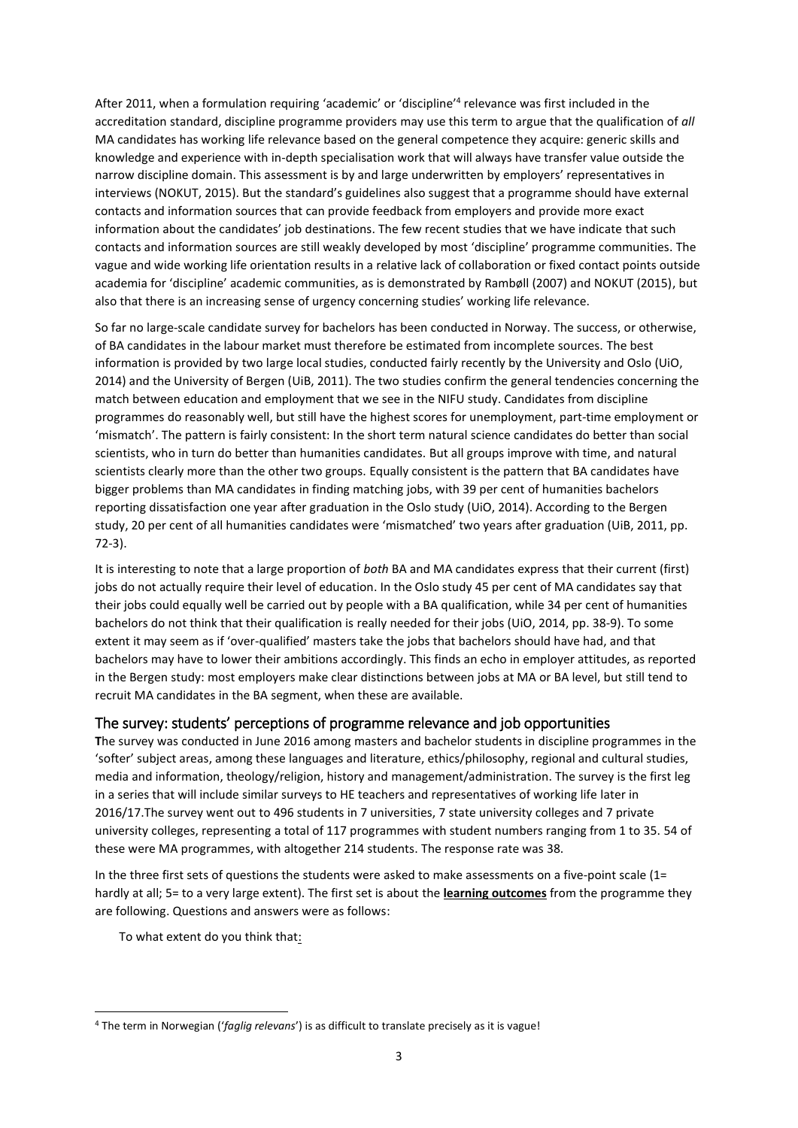After 2011, when a formulation requiring 'academic' or 'discipline'<sup>4</sup> relevance was first included in the accreditation standard, discipline programme providers may use this term to argue that the qualification of *all* MA candidates has working life relevance based on the general competence they acquire: generic skills and knowledge and experience with in-depth specialisation work that will always have transfer value outside the narrow discipline domain. This assessment is by and large underwritten by employers' representatives in interviews (NOKUT, 2015). But the standard's guidelines also suggest that a programme should have external contacts and information sources that can provide feedback from employers and provide more exact information about the candidates' job destinations. The few recent studies that we have indicate that such contacts and information sources are still weakly developed by most 'discipline' programme communities. The vague and wide working life orientation results in a relative lack of collaboration or fixed contact points outside academia for 'discipline' academic communities, as is demonstrated by Rambøll (2007) and NOKUT (2015), but also that there is an increasing sense of urgency concerning studies' working life relevance.

So far no large-scale candidate survey for bachelors has been conducted in Norway. The success, or otherwise, of BA candidates in the labour market must therefore be estimated from incomplete sources. The best information is provided by two large local studies, conducted fairly recently by the University and Oslo (UiO, 2014) and the University of Bergen (UiB, 2011). The two studies confirm the general tendencies concerning the match between education and employment that we see in the NIFU study. Candidates from discipline programmes do reasonably well, but still have the highest scores for unemployment, part-time employment or 'mismatch'. The pattern is fairly consistent: In the short term natural science candidates do better than social scientists, who in turn do better than humanities candidates. But all groups improve with time, and natural scientists clearly more than the other two groups. Equally consistent is the pattern that BA candidates have bigger problems than MA candidates in finding matching jobs, with 39 per cent of humanities bachelors reporting dissatisfaction one year after graduation in the Oslo study (UiO, 2014). According to the Bergen study, 20 per cent of all humanities candidates were 'mismatched' two years after graduation (UiB, 2011, pp. 72-3).

It is interesting to note that a large proportion of *both* BA and MA candidates express that their current (first) jobs do not actually require their level of education. In the Oslo study 45 per cent of MA candidates say that their jobs could equally well be carried out by people with a BA qualification, while 34 per cent of humanities bachelors do not think that their qualification is really needed for their jobs (UiO, 2014, pp. 38-9). To some extent it may seem as if 'over-qualified' masters take the jobs that bachelors should have had, and that bachelors may have to lower their ambitions accordingly. This finds an echo in employer attitudes, as reported in the Bergen study: most employers make clear distinctions between jobs at MA or BA level, but still tend to recruit MA candidates in the BA segment, when these are available.

# The survey: students' perceptions of programme relevance and job opportunities

**T**he survey was conducted in June 2016 among masters and bachelor students in discipline programmes in the 'softer' subject areas, among these languages and literature, ethics/philosophy, regional and cultural studies, media and information, theology/religion, history and management/administration. The survey is the first leg in a series that will include similar surveys to HE teachers and representatives of working life later in 2016/17.The survey went out to 496 students in 7 universities, 7 state university colleges and 7 private university colleges, representing a total of 117 programmes with student numbers ranging from 1 to 35. 54 of these were MA programmes, with altogether 214 students. The response rate was 38.

In the three first sets of questions the students were asked to make assessments on a five-point scale (1= hardly at all; 5= to a very large extent). The first set is about the **learning outcomes** from the programme they are following. Questions and answers were as follows:

To what extent do you think that:

<sup>4</sup> The term in Norwegian ('*faglig relevans*') is as difficult to translate precisely as it is vague!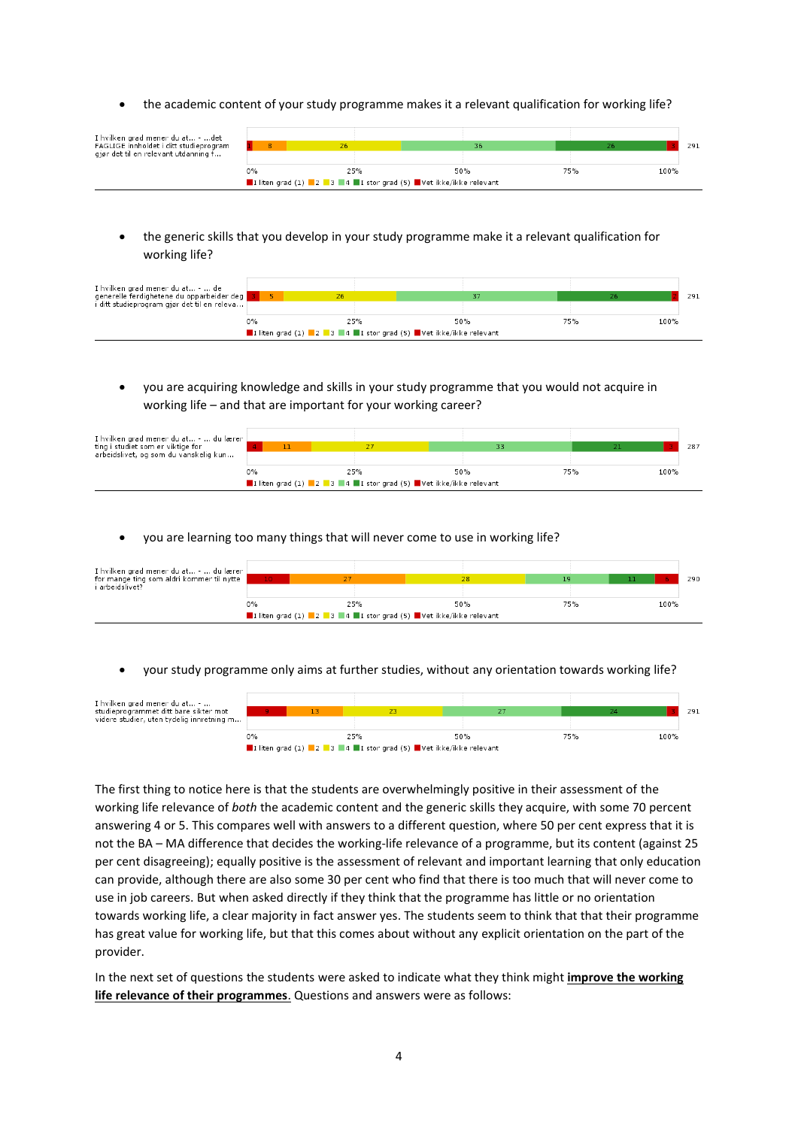the academic content of your study programme makes it a relevant qualification for working life?

| I hvilken grad mener du at - det<br>FAGLIGE innholdet i ditt studieprogram |       |                                                               |     |     |      | 291 |
|----------------------------------------------------------------------------|-------|---------------------------------------------------------------|-----|-----|------|-----|
| gjør det til en relevant utdanning f                                       |       |                                                               |     |     |      |     |
|                                                                            | $0\%$ | 25%                                                           | 50% | 75% | 100% |     |
|                                                                            |       | I liten grad (1) 2 3 4 1 stor grad (5) Vet ikke/ikke relevant |     |     |      |     |

 the generic skills that you develop in your study programme make it a relevant qualification for working life?

| I hvilken grad mener du at -  de<br>generelle ferdighetene du opparbeider deg<br>i ditt studieprogram gjør det til en releva [ |                                                               |  |     |     |     |      | 291 |
|--------------------------------------------------------------------------------------------------------------------------------|---------------------------------------------------------------|--|-----|-----|-----|------|-----|
|                                                                                                                                | 0%                                                            |  | 25% | 50% | 75% | 100% |     |
|                                                                                                                                | I liten grad (1) 2 3 4 I stor grad (5) Vet ikke/ikke relevant |  |     |     |     |      |     |

 you are acquiring knowledge and skills in your study programme that you would not acquire in working life – and that are important for your working career?

| I hvilken grad mener du at -  du lærer [<br>ting i studiet som er viktige for<br>arbeidslivet, og som du vanskelig kun |                                                               |  |     |     | 33 |     |  |      | 287 |
|------------------------------------------------------------------------------------------------------------------------|---------------------------------------------------------------|--|-----|-----|----|-----|--|------|-----|
|                                                                                                                        | $0\%$                                                         |  | 25% | 50% |    | 75% |  | 100% |     |
|                                                                                                                        | I liten grad (1) 2 3 4 I stor grad (5) Vet ikke/ikke relevant |  |     |     |    |     |  |      |     |

you are learning too many things that will never come to use in working life?

| I hvilken grad mener du at -  du lærer<br>for mange ting som aldri kommer til nytte<br>i arbeidslivet? |                                                               |     |     |     |      |     |  |  |  |
|--------------------------------------------------------------------------------------------------------|---------------------------------------------------------------|-----|-----|-----|------|-----|--|--|--|
|                                                                                                        | $10 -$                                                        |     |     |     | -61  | 290 |  |  |  |
|                                                                                                        |                                                               |     |     |     |      |     |  |  |  |
|                                                                                                        | $0\%$                                                         | 25% | 50% | 75% | 100% |     |  |  |  |
|                                                                                                        | I liten grad (1) 2 3 4 I stor grad (5) Vet ikke/ikke relevant |     |     |     |      |     |  |  |  |

your study programme only aims at further studies, without any orientation towards working life?

|                                                                           | I liten grad (1) 2 3 4 I stor grad (5) Vet ikke/ikke relevant |  |     |     |     |      |  |
|---------------------------------------------------------------------------|---------------------------------------------------------------|--|-----|-----|-----|------|--|
|                                                                           | $0\%$                                                         |  | 25% | 50% | 75% | 100% |  |
|                                                                           |                                                               |  |     |     |     |      |  |
| studieprogrammet ditt bare sikter mot                                     |                                                               |  |     |     |     | 291  |  |
| I hvilken grad mener du at -<br>videre studier, uten tydelig innretning m |                                                               |  |     |     |     |      |  |

The first thing to notice here is that the students are overwhelmingly positive in their assessment of the working life relevance of *both* the academic content and the generic skills they acquire, with some 70 percent answering 4 or 5. This compares well with answers to a different question, where 50 per cent express that it is not the BA – MA difference that decides the working-life relevance of a programme, but its content (against 25 per cent disagreeing); equally positive is the assessment of relevant and important learning that only education can provide, although there are also some 30 per cent who find that there is too much that will never come to use in job careers. But when asked directly if they think that the programme has little or no orientation towards working life, a clear majority in fact answer yes. The students seem to think that that their programme has great value for working life, but that this comes about without any explicit orientation on the part of the provider.

In the next set of questions the students were asked to indicate what they think might **improve the working life relevance of their programmes**. Questions and answers were as follows: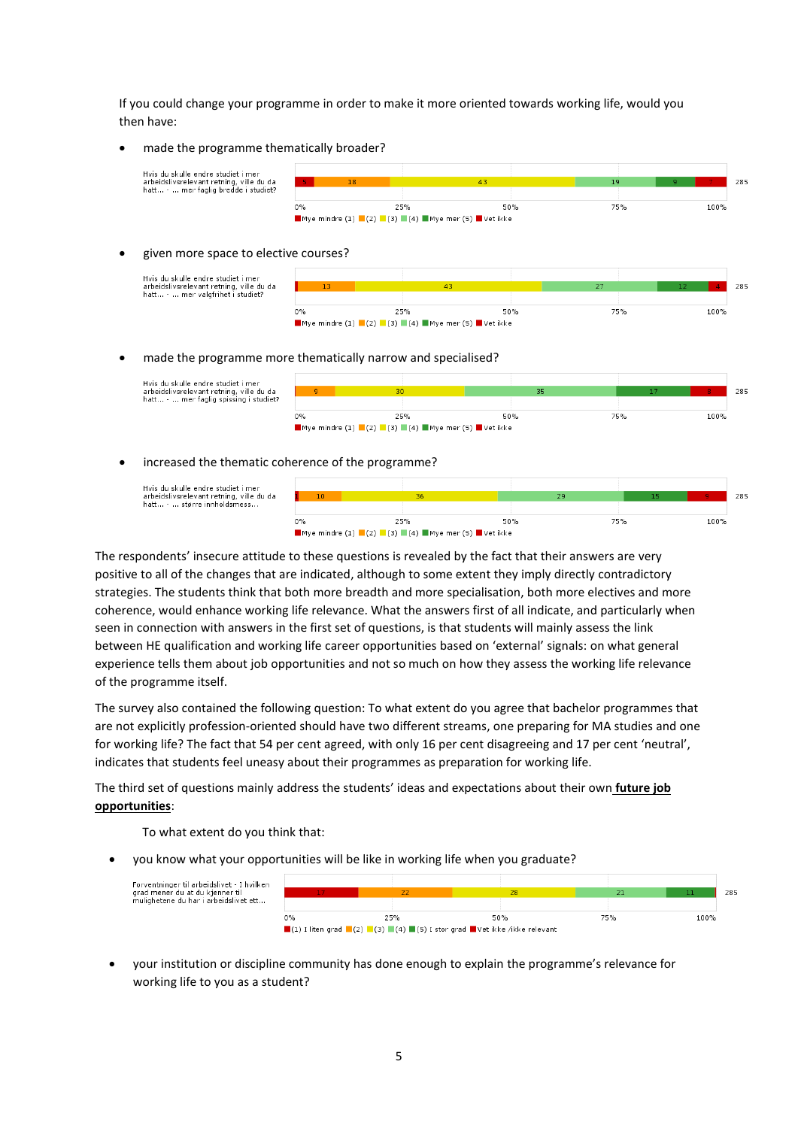If you could change your programme in order to make it more oriented towards working life, would you then have:

made the programme thematically broader?



#### given more space to elective courses?

Hvis du skulle endre studiet i mer<br>arbeidslivsrelevant retning, ville du da<br>hatt... - ... mer valgfrihet i studiet?



#### made the programme more thematically narrow and specialised?



#### increased the thematic coherence of the programme?

Hvis du skulle endre studiet i mer<br>arbeidslivsrelevant retning, ville d<br>hatt... - ... større innholdsmess... . . . . . .<br>ville\_du\_da



The respondents' insecure attitude to these questions is revealed by the fact that their answers are very positive to all of the changes that are indicated, although to some extent they imply directly contradictory strategies. The students think that both more breadth and more specialisation, both more electives and more coherence, would enhance working life relevance. What the answers first of all indicate, and particularly when seen in connection with answers in the first set of questions, is that students will mainly assess the link between HE qualification and working life career opportunities based on 'external' signals: on what general experience tells them about job opportunities and not so much on how they assess the working life relevance of the programme itself.

The survey also contained the following question: To what extent do you agree that bachelor programmes that are not explicitly profession-oriented should have two different streams, one preparing for MA studies and one for working life? The fact that 54 per cent agreed, with only 16 per cent disagreeing and 17 per cent 'neutral', indicates that students feel uneasy about their programmes as preparation for working life.

The third set of questions mainly address the students' ideas and expectations about their own **future job opportunities**:

To what extent do you think that:

you know what your opportunities will be like in working life when you graduate?



 your institution or discipline community has done enough to explain the programme's relevance for working life to you as a student?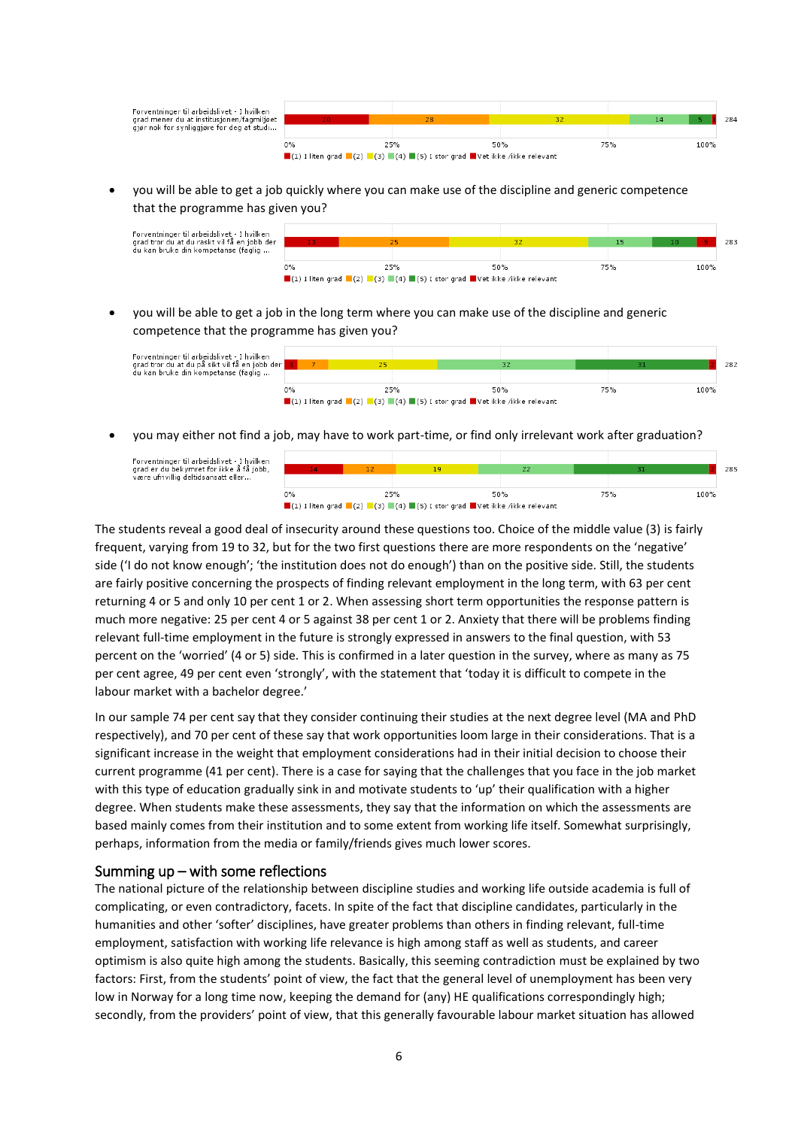| Forventninger til arbeidslivet - I hvilken<br>grad mener du at institusjonen/fagmiljøet |       |                                                                                                                                                           |     |     |      |
|-----------------------------------------------------------------------------------------|-------|-----------------------------------------------------------------------------------------------------------------------------------------------------------|-----|-----|------|
|                                                                                         |       |                                                                                                                                                           |     |     | 284  |
| gjør nok for synliggjøre for deg at studi                                               |       |                                                                                                                                                           |     |     |      |
|                                                                                         | $0\%$ | 25%                                                                                                                                                       | 50% | 75% | 100% |
|                                                                                         |       | $\blacksquare(1)$ I liten grad $\blacksquare(2)$ $\blacksquare(3)$ $\blacksquare(4)$ $\blacksquare(5)$ I stor grad $\blacksquare$ Vet ikke /ikke relevant |     |     |      |

 you will be able to get a job quickly where you can make use of the discipline and generic competence that the programme has given you?



 you will be able to get a job in the long term where you can make use of the discipline and generic competence that the programme has given you?



you may either not find a job, may have to work part-time, or find only irrelevant work after graduation?

Forventninger til arbeidslivet - I hvilken<br>grad er du bekymret for ikke å få jobb,<br>være ufrivillig deltidsansatt eller...



The students reveal a good deal of insecurity around these questions too. Choice of the middle value (3) is fairly frequent, varying from 19 to 32, but for the two first questions there are more respondents on the 'negative' side ('I do not know enough'; 'the institution does not do enough') than on the positive side. Still, the students are fairly positive concerning the prospects of finding relevant employment in the long term, with 63 per cent returning 4 or 5 and only 10 per cent 1 or 2. When assessing short term opportunities the response pattern is much more negative: 25 per cent 4 or 5 against 38 per cent 1 or 2. Anxiety that there will be problems finding relevant full-time employment in the future is strongly expressed in answers to the final question, with 53 percent on the 'worried' (4 or 5) side. This is confirmed in a later question in the survey, where as many as 75 per cent agree, 49 per cent even 'strongly', with the statement that 'today it is difficult to compete in the labour market with a bachelor degree.'

In our sample 74 per cent say that they consider continuing their studies at the next degree level (MA and PhD respectively), and 70 per cent of these say that work opportunities loom large in their considerations. That is a significant increase in the weight that employment considerations had in their initial decision to choose their current programme (41 per cent). There is a case for saying that the challenges that you face in the job market with this type of education gradually sink in and motivate students to 'up' their qualification with a higher degree. When students make these assessments, they say that the information on which the assessments are based mainly comes from their institution and to some extent from working life itself. Somewhat surprisingly, perhaps, information from the media or family/friends gives much lower scores.

## Summing  $up - with some reflections$

The national picture of the relationship between discipline studies and working life outside academia is full of complicating, or even contradictory, facets. In spite of the fact that discipline candidates, particularly in the humanities and other 'softer' disciplines, have greater problems than others in finding relevant, full-time employment, satisfaction with working life relevance is high among staff as well as students, and career optimism is also quite high among the students. Basically, this seeming contradiction must be explained by two factors: First, from the students' point of view, the fact that the general level of unemployment has been very low in Norway for a long time now, keeping the demand for (any) HE qualifications correspondingly high; secondly, from the providers' point of view, that this generally favourable labour market situation has allowed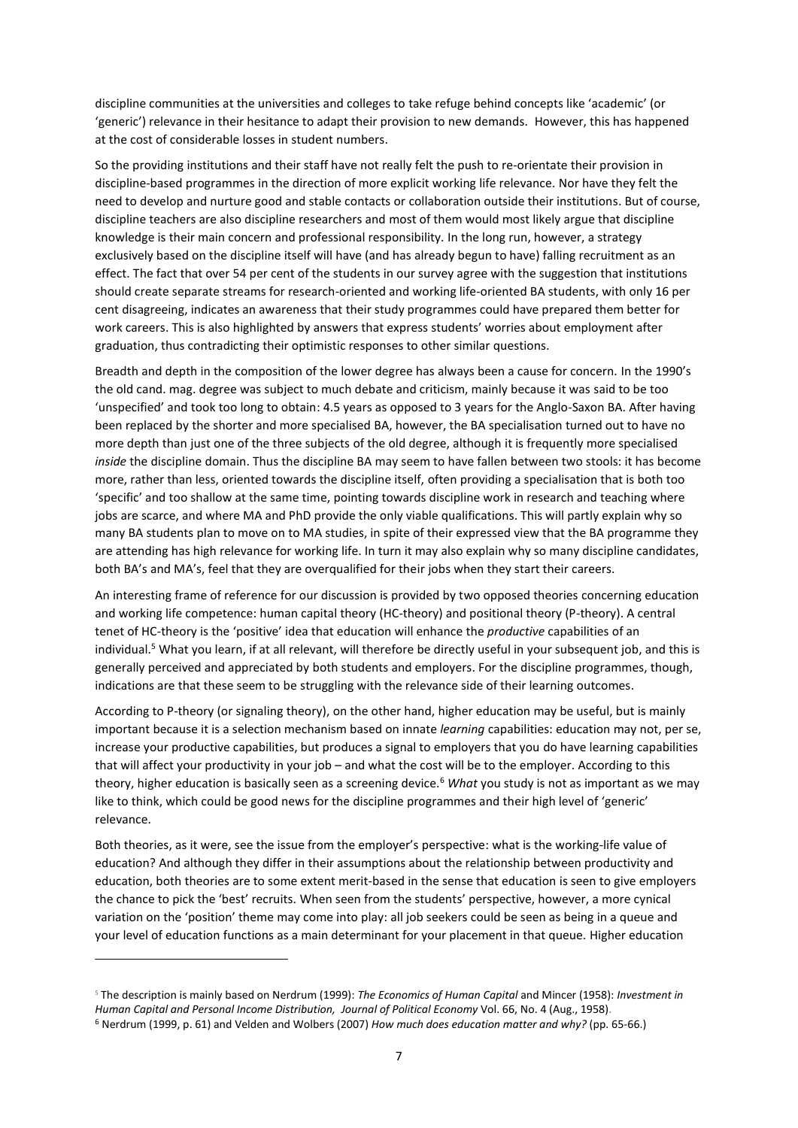discipline communities at the universities and colleges to take refuge behind concepts like 'academic' (or 'generic') relevance in their hesitance to adapt their provision to new demands. However, this has happened at the cost of considerable losses in student numbers.

So the providing institutions and their staff have not really felt the push to re-orientate their provision in discipline-based programmes in the direction of more explicit working life relevance. Nor have they felt the need to develop and nurture good and stable contacts or collaboration outside their institutions. But of course, discipline teachers are also discipline researchers and most of them would most likely argue that discipline knowledge is their main concern and professional responsibility. In the long run, however, a strategy exclusively based on the discipline itself will have (and has already begun to have) falling recruitment as an effect. The fact that over 54 per cent of the students in our survey agree with the suggestion that institutions should create separate streams for research-oriented and working life-oriented BA students, with only 16 per cent disagreeing, indicates an awareness that their study programmes could have prepared them better for work careers. This is also highlighted by answers that express students' worries about employment after graduation, thus contradicting their optimistic responses to other similar questions.

Breadth and depth in the composition of the lower degree has always been a cause for concern. In the 1990's the old cand. mag. degree was subject to much debate and criticism, mainly because it was said to be too 'unspecified' and took too long to obtain: 4.5 years as opposed to 3 years for the Anglo-Saxon BA. After having been replaced by the shorter and more specialised BA, however, the BA specialisation turned out to have no more depth than just one of the three subjects of the old degree, although it is frequently more specialised *inside* the discipline domain. Thus the discipline BA may seem to have fallen between two stools: it has become more, rather than less, oriented towards the discipline itself, often providing a specialisation that is both too 'specific' and too shallow at the same time, pointing towards discipline work in research and teaching where jobs are scarce, and where MA and PhD provide the only viable qualifications. This will partly explain why so many BA students plan to move on to MA studies, in spite of their expressed view that the BA programme they are attending has high relevance for working life. In turn it may also explain why so many discipline candidates, both BA's and MA's, feel that they are overqualified for their jobs when they start their careers.

An interesting frame of reference for our discussion is provided by two opposed theories concerning education and working life competence: human capital theory (HC-theory) and positional theory (P-theory). A central tenet of HC-theory is the 'positive' idea that education will enhance the *productive* capabilities of an individual. <sup>5</sup> What you learn, if at all relevant, will therefore be directly useful in your subsequent job, and this is generally perceived and appreciated by both students and employers. For the discipline programmes, though, indications are that these seem to be struggling with the relevance side of their learning outcomes.

According to P-theory (or signaling theory), on the other hand, higher education may be useful, but is mainly important because it is a selection mechanism based on innate *learning* capabilities: education may not, per se, increase your productive capabilities, but produces a signal to employers that you do have learning capabilities that will affect your productivity in your job – and what the cost will be to the employer. According to this theory, higher education is basically seen as a screening device.<sup>6</sup> What you study is not as important as we may like to think, which could be good news for the discipline programmes and their high level of 'generic' relevance.

Both theories, as it were, see the issue from the employer's perspective: what is the working-life value of education? And although they differ in their assumptions about the relationship between productivity and education, both theories are to some extent merit-based in the sense that education is seen to give employers the chance to pick the 'best' recruits. When seen from the students' perspective, however, a more cynical variation on the 'position' theme may come into play: all job seekers could be seen as being in a queue and your level of education functions as a main determinant for your placement in that queue. Higher education

<sup>5</sup> The description is mainly based on Nerdrum (1999): *The Economics of Human Capital* and Mincer (1958): *Investment in Human Capital and Personal Income Distribution, Journal of Political Economy* Vol. 66, No. 4 (Aug., 1958).

<sup>6</sup> Nerdrum (1999, p. 61) and Velden and Wolbers (2007) *How much does education matter and why?* (pp. 65-66.)